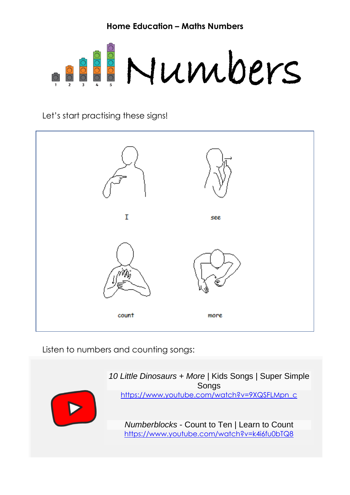

Let's start practising these signs!



Listen to numbers and counting songs:

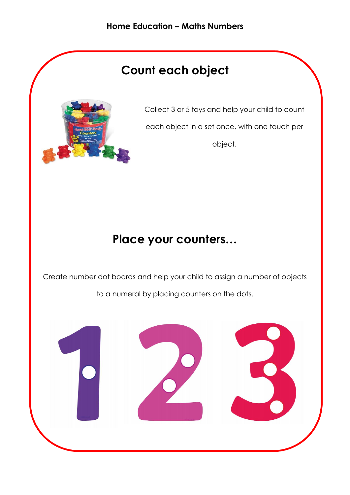# **Count each object**



Collect 3 or 5 toys and help your child to count each object in a set once, with one touch per object.

## **Place your counters…**

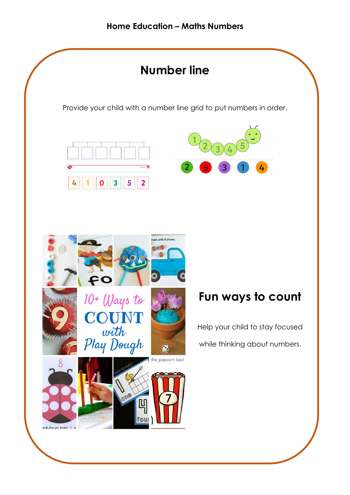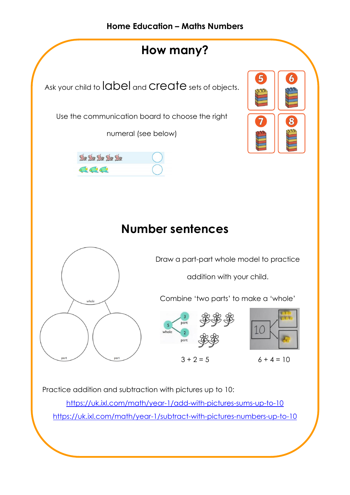

<https://uk.ixl.com/math/year-1/add-with-pictures-sums-up-to-10> <https://uk.ixl.com/math/year-1/subtract-with-pictures-numbers-up-to-10>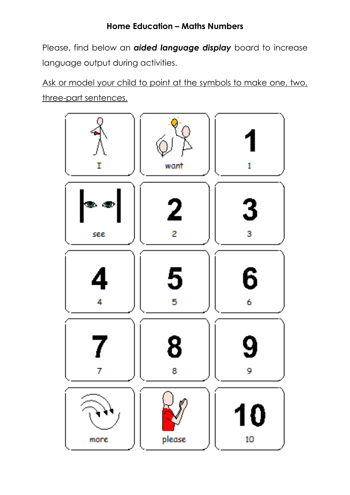Please, find below an *aided language display* board to increase language output during activities.

Ask or model your child to point at the symbols to make one, two, three-part sentences.